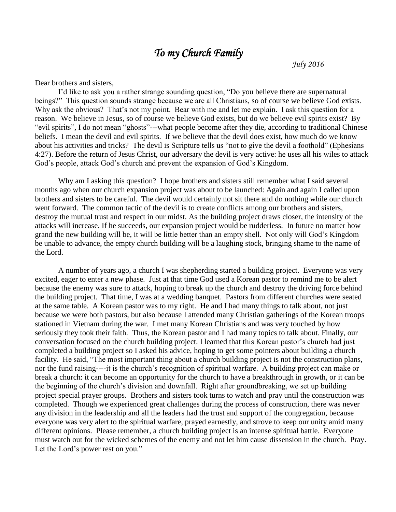## *To my Church Family*

 *July 2016*

Dear brothers and sisters,

I'd like to ask you a rather strange sounding question, "Do you believe there are supernatural beings?" This question sounds strange because we are all Christians, so of course we believe God exists. Why ask the obvious? That's not my point. Bear with me and let me explain. I ask this question for a reason. We believe in Jesus, so of course we believe God exists, but do we believe evil spirits exist? By "evil spirits", I do not mean "ghosts"---what people become after they die, according to traditional Chinese beliefs. I mean the devil and evil spirits. If we believe that the devil does exist, how much do we know about his activities and tricks? The devil is Scripture tells us "not to give the devil a foothold" (Ephesians 4:27). Before the return of Jesus Christ, our adversary the devil is very active: he uses all his wiles to attack God's people, attack God's church and prevent the expansion of God's Kingdom.

Why am I asking this question? I hope brothers and sisters still remember what I said several months ago when our church expansion project was about to be launched: Again and again I called upon brothers and sisters to be careful. The devil would certainly not sit there and do nothing while our church went forward. The common tactic of the devil is to create conflicts among our brothers and sisters, destroy the mutual trust and respect in our midst. As the building project draws closer, the intensity of the attacks will increase. If he succeeds, our expansion project would be rudderless. In future no matter how grand the new building will be, it will be little better than an empty shell. Not only will God's Kingdom be unable to advance, the empty church building will be a laughing stock, bringing shame to the name of the Lord.

A number of years ago, a church I was shepherding started a building project. Everyone was very excited, eager to enter a new phase. Just at that time God used a Korean pastor to remind me to be alert because the enemy was sure to attack, hoping to break up the church and destroy the driving force behind the building project. That time, I was at a wedding banquet. Pastors from different churches were seated at the same table. A Korean pastor was to my right. He and I had many things to talk about, not just because we were both pastors, but also because I attended many Christian gatherings of the Korean troops stationed in Vietnam during the war. I met many Korean Christians and was very touched by how seriously they took their faith. Thus, the Korean pastor and I had many topics to talk about. Finally, our conversation focused on the church building project. I learned that this Korean pastor's church had just completed a building project so I asked his advice, hoping to get some pointers about building a church facility. He said, "The most important thing about a church building project is not the construction plans, nor the fund raising----it is the church's recognition of spiritual warfare. A building project can make or break a church: it can become an opportunity for the church to have a breakthrough in growth, or it can be the beginning of the church's division and downfall. Right after groundbreaking, we set up building project special prayer groups. Brothers and sisters took turns to watch and pray until the construction was completed. Though we experienced great challenges during the process of construction, there was never any division in the leadership and all the leaders had the trust and support of the congregation, because everyone was very alert to the spiritual warfare, prayed earnestly, and strove to keep our unity amid many different opinions. Please remember, a church building project is an intense spiritual battle. Everyone must watch out for the wicked schemes of the enemy and not let him cause dissension in the church. Pray. Let the Lord's power rest on you."